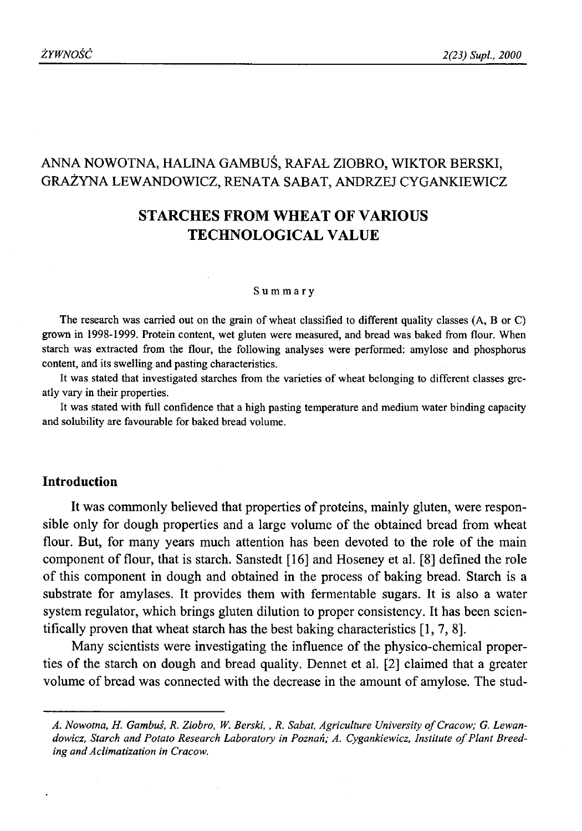# ANNA NOWOTNA, HALINA GAMBUŚ, RAFAŁ ZIOBRO, WIKTOR BERSKI, GRAŻYNA LEWANDOWICZ, RENATA SABAT, ANDRZEJ CYGANKIEWICZ

# **STARCHES FROM WHEAT OF VARIOUS TECHNOLOGICAL VALUE**

#### Summary

The research was carried out on the grain of wheat classified to different quality classes (A, B or C) grown in 1998-1999. Protein content, wet gluten were measured, and bread was baked from flour. When starch was extracted from the flour, the following analyses were performed: amylose and phosphorus content, and its swelling and pasting characteristics.

It was stated that investigated starches from the varieties of wheat belonging to different classes greatly vary in their properties.

It was stated with full confidence that a high pasting temperature and medium water binding capacity and solubility are favourable for baked bread volume.

### **Introduction**

It was commonly believed that properties of proteins, mainly gluten, were responsible only for dough properties and a large volume of the obtained bread from wheat flour. But, for many years much attention has been devoted to the role of the main component of flour, that is starch. Sanstedt [16] and Hoseney et al. [8] defined the role of this component in dough and obtained in the process of baking bread. Starch is a substrate for amylases. It provides them with fermentable sugars. It is also a water system regulator, which brings gluten dilution to proper consistency. It has been scientifically proven that wheat starch has the best baking characteristics [1, 7, 8].

Many scientists were investigating the influence of the physico-chemical properties of the starch on dough and bread quality. Dennet et al. [2] claimed that a greater volume of bread was connected with the decrease in the amount of amylose. The stud-

A. Nowotna, H. Gambuś, R. Ziobro, W. Berski, , R. Sabat, Agriculture University of Cracow; G. Lewandowicz, Starch and Potato Research Laboratory in Poznań; A. Cygankiewicz, Institute of Plant Breed*ing and Aclimatization in Cracow.*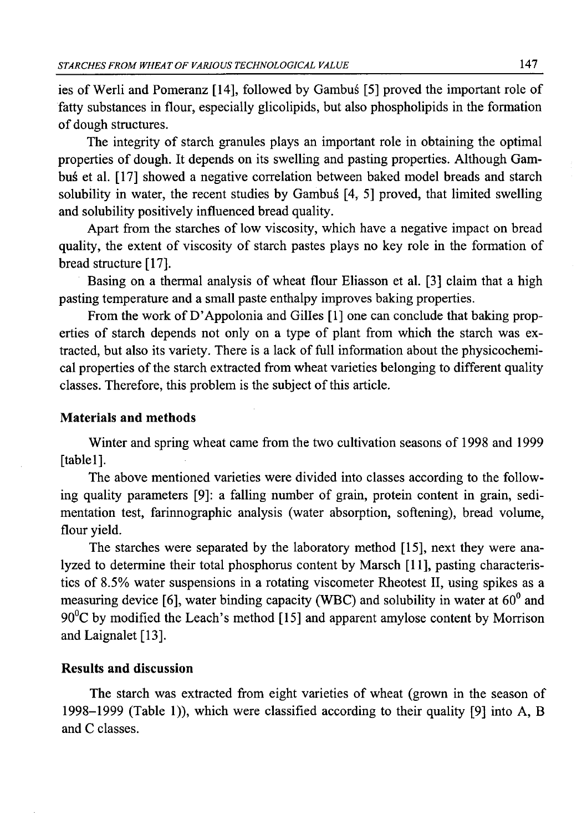ies of Werli and Pomeranz [14], followed by Gambuś [5] proved the important role of fatty substances in flour, especially glicolipids, but also phospholipids in the formation of dough structures.

The integrity of starch granules plays an important role in obtaining the optimal properties of dough. It depends on its swelling and pasting properties. Although Gambuś et al. [17] showed a negative correlation between baked model breads and starch solubility in water, the recent studies by Gambuś [4, 5] proved, that limited swelling and solubility positively influenced bread quality.

Apart from the starches of low viscosity, which have a negative impact on bread quality, the extent of viscosity of starch pastes plays no key role in the formation of bread structure [17].

Basing on a thermal analysis of wheat flour Eliasson et al. [3] claim that a high pasting temperature and a small paste enthalpy improves baking properties.

From the work of D'Appolonia and Gilles [1] one can conclude that baking properties of starch depends not only on a type of plant from which the starch was extracted, but also its variety. There is a lack of full information about the physicochemical properties of the starch extracted from wheat varieties belonging to different quality classes. Therefore, this problem is the subject of this article.

## **Materials and methods**

Winter and spring wheat came from the two cultivation seasons of 1998 and 1999 [table1].

The above mentioned varieties were divided into classes according to the following quality parameters [9]: a falling number of grain, protein content in grain, sedimentation test, farinnographic analysis (water absorption, softening), bread volume, flour yield.

The starches were separated by the laboratory method [15], next they were analyzed to determine their total phosphorus content by Marsch [11], pasting characteristics of 8.5% water suspensions in a rotating viscometer Rheotest II, using spikes as a measuring device [6], water binding capacity (WBC) and solubility in water at 60° and  $90^{\circ}$ C by modified the Leach's method [15] and apparent amylose content by Morrison and Laignalet [13].

## **Results and discussion**

The starch was extracted from eight varieties of wheat (grown in the season of 1998-1999 (Table 1)), which were classified according to their quality [9] into A, B and C classes.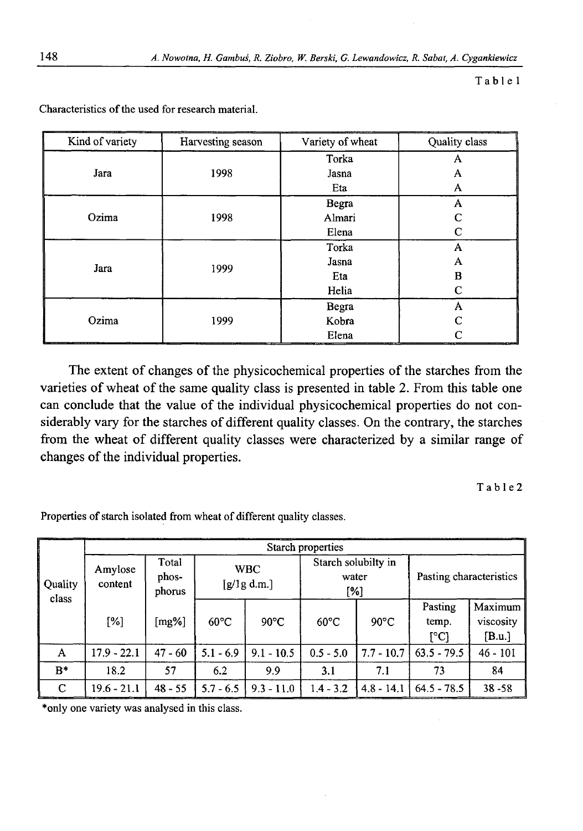Table 1

| Kind of variety | Harvesting season | Variety of wheat | Quality class |  |
|-----------------|-------------------|------------------|---------------|--|
| Jara            |                   | Torka            | А             |  |
|                 | 1998              | Jasna            | A             |  |
|                 |                   | Eta              | A             |  |
| Ozima           |                   | Begra            | A             |  |
|                 | 1998              | Almari           | C             |  |
|                 |                   | Elena            | C             |  |
| Jara            |                   | Torka            | A             |  |
|                 | 1999              | Jasna            | A             |  |
|                 |                   | Eta              | в             |  |
|                 |                   | Helia            | C             |  |
| Ozima           |                   | Begra            | A             |  |
|                 | 1999              | Kobra            | C             |  |
|                 |                   | Elena            | ⊂             |  |

Characteristics of the used for research material.

The extent of changes of the physicochemical properties of the starches from the varieties of wheat of the same quality class is presented in table 2. From this table one can conclude that the value of the individual physicochemical properties do not considerably vary for the starches of different quality classes. On the contrary, the starches from the wheat of different quality classes were characterized by a similar range of changes of the individual properties.

T a b 1 e 2

Properties of starch isolated from wheat of different quality classes.

|                  | Starch properties  |                          |                           |                |                                     |                |                                                    |                                |  |  |
|------------------|--------------------|--------------------------|---------------------------|----------------|-------------------------------------|----------------|----------------------------------------------------|--------------------------------|--|--|
| Quality<br>class | Amylose<br>content | Total<br>phos-<br>phorus | <b>WBC</b><br>[g/lg d.m.] |                | Starch solubilty in<br>water<br>[%] |                | Pasting characteristics                            |                                |  |  |
|                  | [%]                | [mg%]                    | $60^{\circ}$ C            | $90^{\circ}$ C | $60^{\circ}$ C                      | $90^{\circ}$ C | Pasting<br>temp.<br>$\lceil{^\circ}\text{C}\rceil$ | Maximum<br>viscosity<br>[B.u.] |  |  |
| A                | $17.9 - 22.1$      | $47 - 60$                | $5.1 - 6.9$               | $9.1 - 10.5$   | $0.5 - 5.0$                         | $7.7 - 10.7$   | $63.5 - 79.5$                                      | $46 - 101$                     |  |  |
| $R*$             | 18.2               | 57                       | 6.2                       | 9.9            | 3.1                                 | 7.1            | 73                                                 | 84                             |  |  |
| C                | $19.6 - 21.1$      | $48 - 55$                | $5.7 - 6.5$               | $9.3 - 11.0$   | $1.4 - 3.2$                         | $4.8 - 14.1$   | $64.5 - 78.5$                                      | $38 - 58$                      |  |  |

\*only one variety was analysed in this class.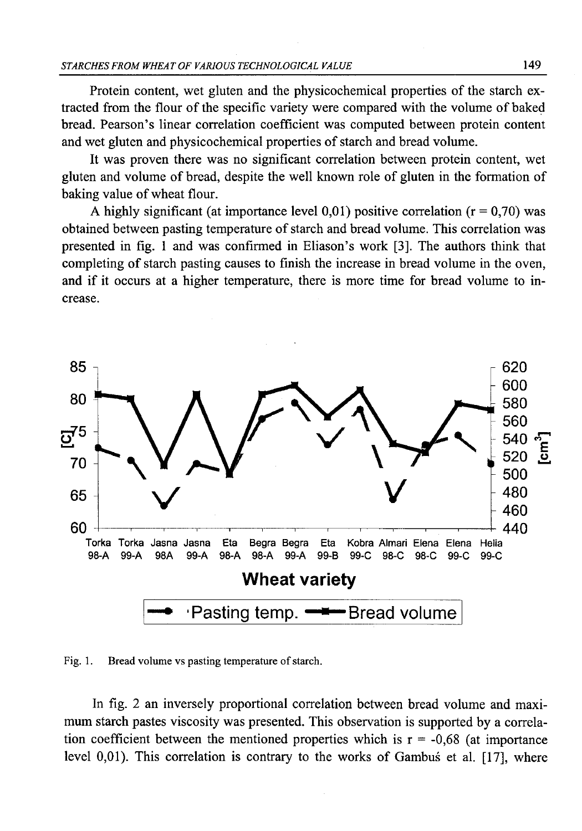Protein content, wet gluten and the physicochemical properties of the starch extracted from the flour of the specific variety were compared with the volume of baked bread. Pearson's linear correlation coefficient was computed between protein content and wet gluten and physicochemical properties of starch and bread volume.

It was proven there was no significant correlation between protein content, wet gluten and volume of bread, despite the well known role of gluten in the formation of baking value of wheat flour.

A highly significant (at importance level 0,01) positive correlation  $(r = 0.70)$  was obtained between pasting temperature of starch and bread volume. This correlation was presented in fig. 1 and was confirmed in Eliason's work [3]. The authors think that completing of starch pasting causes to finish the increase in bread volume in the oven, and if it occurs at a higher temperature, there is more time for bread volume to increase.



Fig. 1. Bread volume vs pasting temperature of starch.

In fig. 2 an inversely proportional correlation between bread volume and maximum starch pastes viscosity was presented. This observation is supported by a correlation coefficient between the mentioned properties which is  $r = -0.68$  (at importance level 0,01). This correlation is contrary to the works of Gambuś et al. [17], where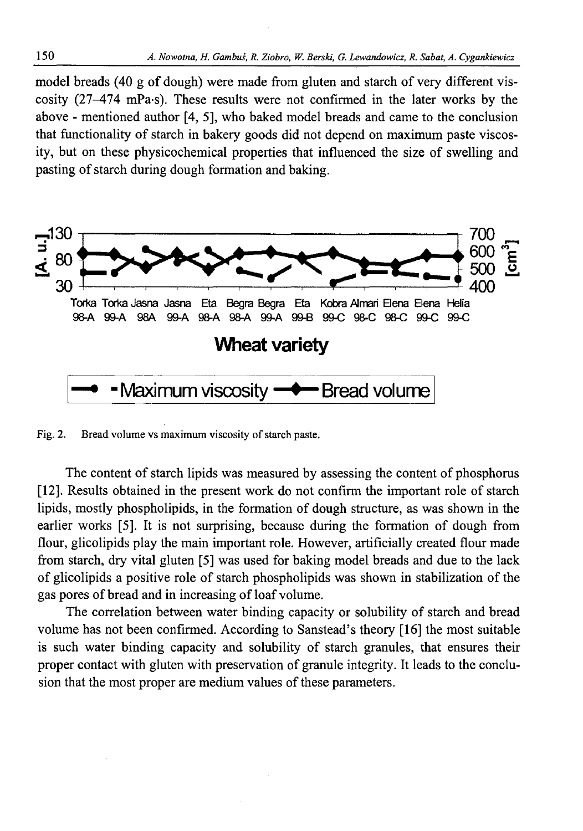model breads (40 g of dough) were made from gluten and starch of very different viscosity (27—474 mPa-s). These results were not confirmed in the later works by the above - mentioned author [4, 5], who baked model breads and came to the conclusion that functionality of starch in bakery goods did not depend on maximum paste viscosity, but on these physicochemical properties that influenced the size of swelling and pasting of starch during dough formation and baking.



Fig. 2. Bread volume vs maximum viscosity of starch paste.

The content of starch lipids was measured by assessing the content of phosphorus [12]. Results obtained in the present work do not confirm the important role of starch lipids, mostly phospholipids, in the formation of dough structure, as was shown in the earlier works [5]. It is not surprising, because during the formation of dough from flour, glicolipids play the main important role. However, artificially created flour made from starch, dry vital gluten [5] was used for baking model breads and due to the lack of glicolipids a positive role of starch phospholipids was shown in stabilization of the gas pores of bread and in increasing of loaf volume.

The correlation between water binding capacity or solubility of starch and bread volume has not been confirmed. According to Sanstead's theory [16] the most suitable is such water binding capacity and solubility of starch granules, that ensures their proper contact with gluten with preservation of granule integrity. It leads to the conclusion that the most proper are medium values of these parameters.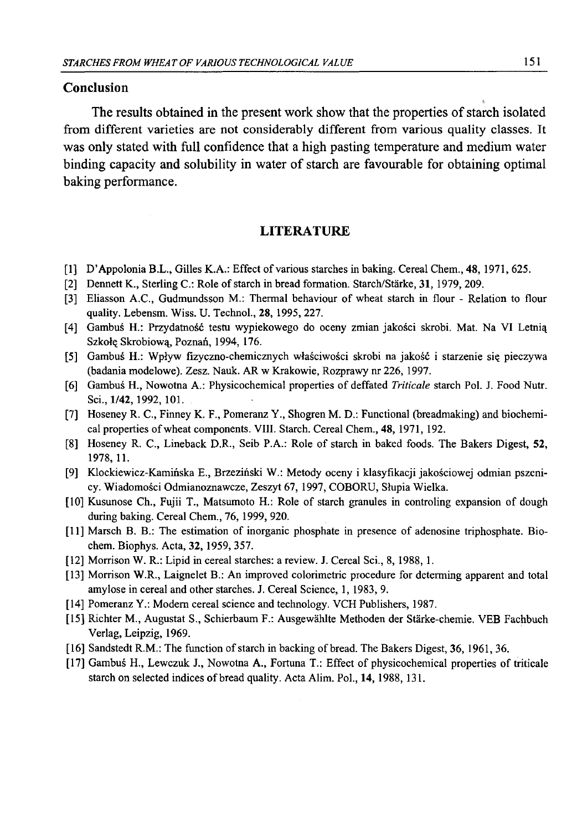#### **Conclusion**

The results obtained in the present work show that the properties of starch isolated from different varieties are not considerably different from various quality classes. It was only stated with full confidence that a high pasting temperature and medium water binding capacity and solubility in water of starch are favourable for obtaining optimal baking performance.

### **LITERATURE**

- [1] D'Appolonia B.L., Gilles K.A.: Effect of various starches in baking. Cereal Chem., 48, 1971, 625.
- [2] Dennett K., Sterling C.: Role of starch in bread formation. Starch/Stärke, 31, 1979, 209.
- [3] Eliasson A.C., Gudmundsson M.: Thermal behaviour of wheat starch in flour Relation to flour quality. Lebensm. Wiss. U. Technol., 28, 1995, 227.
- [4] Gambuś H.: Przydatność testu wypiekowego do oceny zmian jakości skrobi. Mat. Na VI Letnią Szkołę Skrobiową, Poznań, 1994, 176.
- [5] Gambuś H.: Wpływ fizyczno-chemicznych właściwości skrobi na jakość i starzenie się pieczywa (badania modelowe). Zesz. Nauk. AR w Krakowie, Rozprawy nr 226, 1997.
- [6] Gambuś H., Nowotna A.: Physicochemical properties of deffated *Triticale* starch Pol. J. Food Nutr. Sci., 1/42, 1992, 101.
- [7] Hoseney R. C., Finney K. F., Pomeranz Y., Shogren M. D.: Functional (breadmaking) and biochemical properties of wheat components. VIII. Starch. Cereal Chem., 48,1971,192.
- [8] Hoseney R. C., Lineback D.R., Seib P.A.: Role of starch in baked foods. The Bakers Digest, 52, 1978, 11.
- [9] Klockiewicz-Kamińska E., Brzeziński W.: Metody oceny i klasyfikacji jakościowej odmian pszenicy. Wiadomości Odmianoznawcze, Zeszyt 67, 1997, COBORU, Słupia Wielka.
- [10] Kusunose Ch., Fujii T., Matsumoto H.: Role of starch granules in controling expansion of dough during baking. Cereal Chem., 76, 1999, 920.
- [11] Marsch B. B.: The estimation of inorganic phosphate in presence of adenosine triphosphate. Biochem. Biophys. Acta, 32, 1959, 357.
- [12] Morrison W. R.: Lipid in cereal starches: a review. J. Cereal Sci., 8, 1988, 1.
- [13] Morrison W.R., Laignelet B.: An improved colorimetric procedure for determing apparent and total amylose in cereal and other starches. J. Cereal Science, 1, 1983, 9.
- [14] Pomeranz Y.: Modem cereal science and technology. VCH Publishers, 1987.
- [15] Richter M., Augustat S., Schierbaum F.: Ausgewahlte Methoden der Starke-chemie. VEB Fachbuch Verlag, Leipzig, 1969.
- [16] Sandstedt R.M.: The function of starch in backing of bread. The Bakers Digest, 36, 1961, 36.
- [17] Gambuś H., Lewczuk J., Nowotna A., Fortuna T.: Effect of physicochemical properties of triticale starch on selected indices of bread quality. Acta Alim. Pol., 14, 1988, 131.